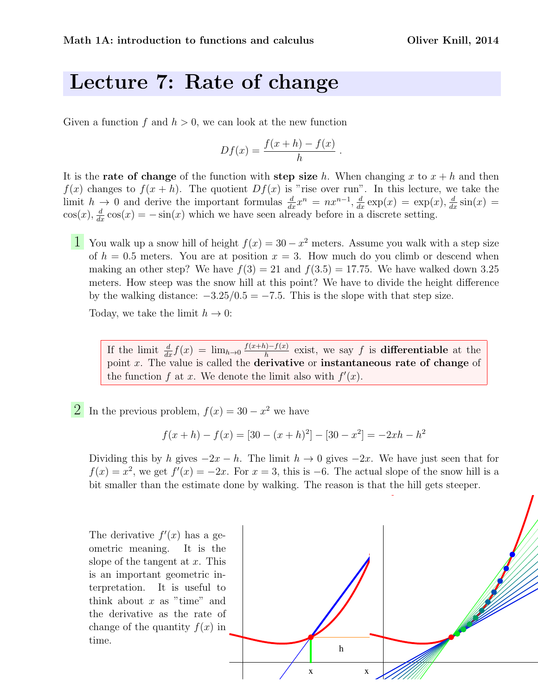## Lecture 7: Rate of change

Given a function f and  $h > 0$ , we can look at the new function

$$
Df(x) = \frac{f(x+h) - f(x)}{h}
$$

.

It is the **rate of change** of the function with **step size** h. When changing x to  $x + h$  and then  $f(x)$  changes to  $f(x+h)$ . The quotient  $Df(x)$  is "rise over run". In this lecture, we take the limit  $h \to 0$  and derive the important formulas  $\frac{d}{dx}x^n = nx^{n-1}$ ,  $\frac{d}{dx} \exp(x) = \exp(x)$ ,  $\frac{d}{dx} \sin(x) =$  $cos(x), \frac{d}{dx}cos(x) = -sin(x)$  which we have seen already before in a discrete setting.

1 You walk up a snow hill of height  $f(x) = 30 - x^2$  meters. Assume you walk with a step size of  $h = 0.5$  meters. You are at position  $x = 3$ . How much do you climb or descend when making an other step? We have  $f(3) = 21$  and  $f(3.5) = 17.75$ . We have walked down 3.25 meters. How steep was the snow hill at this point? We have to divide the height difference by the walking distance:  $-3.25/0.5 = -7.5$ . This is the slope with that step size.

Today, we take the limit  $h \to 0$ :

If the limit  $\frac{d}{dx} f(x) = \lim_{h\to 0} \frac{f(x+h)-f(x)}{h}$  $\frac{h^{(1)}-f(x)}{h}$  exist, we say f is **differentiable** at the point  $x$ . The value is called the **derivative** or **instantaneous rate of change** of the function f at x. We denote the limit also with  $f'(x)$ .

2 In the previous problem,  $f(x) = 30 - x^2$  we have

$$
f(x+h) - f(x) = [30 - (x+h)^2] - [30 - x^2] = -2xh - h^2
$$

Dividing this by h gives  $-2x - h$ . The limit  $h \to 0$  gives  $-2x$ . We have just seen that for  $f(x) = x^2$ , we get  $f'(x) = -2x$ . For  $x = 3$ , this is -6. The actual slope of the snow hill is a bit smaller than the estimate done by walking. The reason is that the hill gets steeper.

The derivative  $f'(x)$  has a geometric meaning. It is the slope of the tangent at  $x$ . This is an important geometric interpretation. It is useful to think about  $x$  as "time" and the derivative as the rate of change of the quantity  $f(x)$  in time.

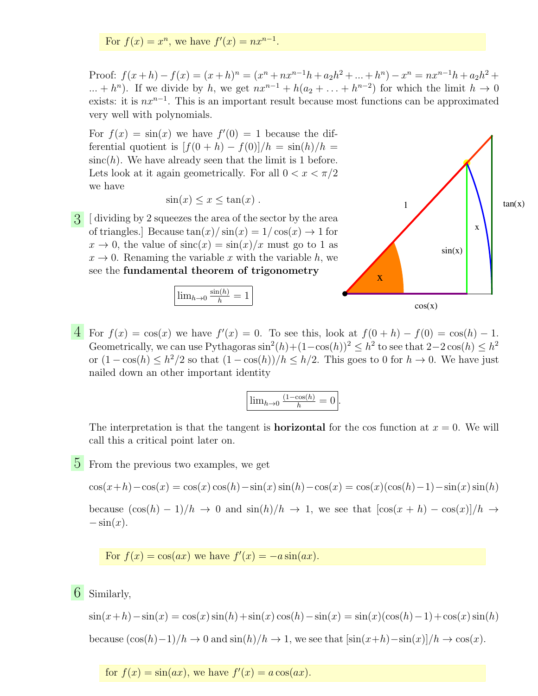For  $f(x) = x^n$ , we have  $f'(x) = nx^{n-1}$ .

Proof:  $f(x+h) - f(x) = (x+h)^n = (x^n + nx^{n-1}h + a_2h^2 + ... + h^n) - x^n = nx^{n-1}h + a_2h^2 + ...$  $\dots + h^n$ ). If we divide by h, we get  $nx^{n-1} + h(a_2 + \dots + h^{n-2})$  for which the limit  $h \to 0$ exists: it is  $nx^{n-1}$ . This is an important result because most functions can be approximated very well with polynomials.

For  $f(x) = \sin(x)$  we have  $f'(0) = 1$  because the differential quotient is  $[f(0+h) - f(0)]/h = \sin(h)/h$  $sinc(h)$ . We have already seen that the limit is 1 before. Lets look at it again geometrically. For all  $0 < x < \pi/2$ we have

$$
\sin(x) \le x \le \tan(x) .
$$

3 [ dividing by 2 squeezes the area of the sector by the area of triangles.] Because  $\tan(x)/\sin(x) = 1/\cos(x) \rightarrow 1$  for  $x \to 0$ , the value of  $\operatorname{sinc}(x) = \sin(x)/x$  must go to 1 as  $x \to 0$ . Renaming the variable x with the variable h, we see the fundamental theorem of trigonometry





 $\overline{4}$  For  $f(x) = \cos(x)$  we have  $f'(x) = 0$ . To see this, look at  $f(0+h) - f(0) = \cos(h) - 1$ . Geometrically, we can use Pythagoras  $\sin^2(h) + (1-\cos(h))^2 \leq h^2$  to see that  $2-2\cos(h) \leq h^2$ or  $(1 - \cos(h) \leq h^2/2$  so that  $(1 - \cos(h))/h \leq h/2$ . This goes to 0 for  $h \to 0$ . We have just nailed down an other important identity

$$
\boxed{\lim_{h\to 0} \frac{(1-\cos(h)}{h} = 0}.
$$

The interpretation is that the tangent is **horizontal** for the cos function at  $x = 0$ . We will call this a critical point later on.

5 From the previous two examples, we get

$$
\cos(x+h) - \cos(x) = \cos(x)\cos(h) - \sin(x)\sin(h) - \cos(x) = \cos(x)(\cos(h) - 1) - \sin(x)\sin(h)
$$

because  $(\cos(h) - 1)/h \to 0$  and  $\sin(h)/h \to 1$ , we see that  $[\cos(x + h) - \cos(x)]/h \to 0$  $-\sin(x)$ .

For  $f(x) = \cos(ax)$  we have  $f'(x) = -a\sin(ax)$ .

6 Similarly,

 $\sin(x+h)-\sin(x) = \cos(x)\sin(h)+\sin(x)\cos(h)-\sin(x) = \sin(x)(\cos(h)-1)+\cos(x)\sin(h)$ because  $(\cos(h)-1)/h \to 0$  and  $\sin(h)/h \to 1$ , we see that  $[\sin(x+h)-\sin(x)]/h \to \cos(x)$ .

for  $f(x) = \sin(ax)$ , we have  $f'(x) = a\cos(ax)$ .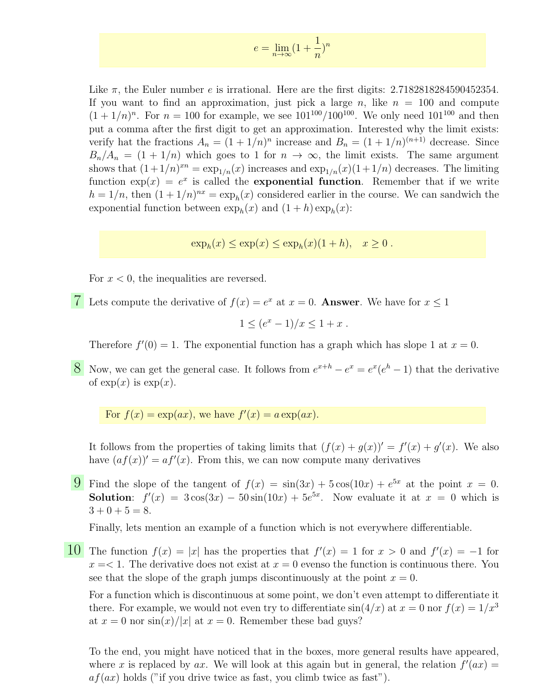$$
e = \lim_{n \to \infty} (1 + \frac{1}{n})^n
$$

Like  $\pi$ , the Euler number e is irrational. Here are the first digits: 2.7182818284590452354. If you want to find an approximation, just pick a large n, like  $n = 100$  and compute  $(1 + 1/n)^n$ . For  $n = 100$  for example, we see  $101^{100}/100^{100}$ . We only need  $101^{100}$  and then put a comma after the first digit to get an approximation. Interested why the limit exists: verify hat the fractions  $A_n = (1 + 1/n)^n$  increase and  $B_n = (1 + 1/n)^{(n+1)}$  decrease. Since  $B_n/A_n = (1 + 1/n)$  which goes to 1 for  $n \to \infty$ , the limit exists. The same argument shows that  $(1+1/n)^{xn} = \exp_{1/n}(x)$  increases and  $\exp_{1/n}(x)(1+1/n)$  decreases. The limiting function  $exp(x) = e^x$  is called the **exponential function**. Remember that if we write  $h = 1/n$ , then  $(1 + 1/n)^{nx} = \exp_h(x)$  considered earlier in the course. We can sandwich the exponential function between  $\exp_h(x)$  and  $(1+h)\exp_h(x)$ :

 $\exp_h(x) \leq \exp(x) \leq \exp_h(x)(1+h), \quad x \geq 0.$ 

For  $x < 0$ , the inequalities are reversed.

**7** Lets compute the derivative of  $f(x) = e^x$  at  $x = 0$ . **Answer**. We have for  $x \le 1$ 

$$
1 \le (e^x - 1)/x \le 1 + x \; .
$$

Therefore  $f'(0) = 1$ . The exponential function has a graph which has slope 1 at  $x = 0$ .

8 Now, we can get the general case. It follows from  $e^{x+h} - e^x = e^x(e^h - 1)$  that the derivative of  $\exp(x)$  is  $\exp(x)$ .

For  $f(x) = \exp(ax)$ , we have  $f'(x) = a \exp(ax)$ .

It follows from the properties of taking limits that  $(f(x) + g(x))' = f'(x) + g'(x)$ . We also have  $(af(x))' = af'(x)$ . From this, we can now compute many derivatives

**9** Find the slope of the tangent of  $f(x) = sin(3x) + 5cos(10x) + e^{5x}$  at the point  $x = 0$ . **Solution:**  $f'(x) = 3\cos(3x) - 50\sin(10x) + 5e^{5x}$ . Now evaluate it at  $x = 0$  which is  $3 + 0 + 5 = 8.$ 

Finally, lets mention an example of a function which is not everywhere differentiable.

10 The function  $f(x) = |x|$  has the properties that  $f'(x) = 1$  for  $x > 0$  and  $f'(x) = -1$  for  $x = 1$ . The derivative does not exist at  $x = 0$  evenso the function is continuous there. You see that the slope of the graph jumps discontinuously at the point  $x = 0$ .

For a function which is discontinuous at some point, we don't even attempt to differentiate it there. For example, we would not even try to differentiate  $sin(4/x)$  at  $x = 0$  nor  $f(x) = 1/x<sup>3</sup>$ at  $x = 0$  nor  $\sin(x)/|x|$  at  $x = 0$ . Remember these bad guys?

To the end, you might have noticed that in the boxes, more general results have appeared, where x is replaced by ax. We will look at this again but in general, the relation  $f'(ax) =$  $af(ax)$  holds ("if you drive twice as fast, you climb twice as fast").